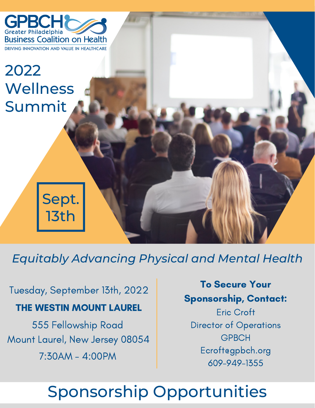

# 2022 **Wellness** Summit

# Sept. 13th

*Equitably Advancing Physical and Mental Health*

Tuesday, September 13th, 2022

# THE WESTIN MOUNT LAUREL

555 Fellowship Road Mount Laurel, New Jersey 08054 7:30AM - 4:00PM

To Secure Your Sponsorship, Contact:

Eric Croft Director of Operations **GPBCH** Ecroft@gpbch.org 609-949-1355

# Sponsorship Opportunities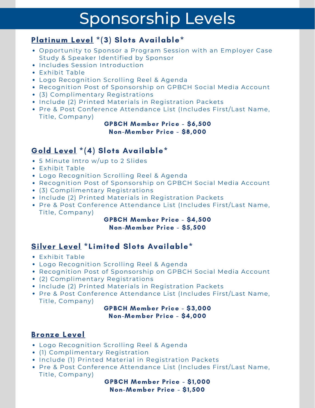# Sponsorship Levels

### Platinum Level \*(3) Slots Available\*

- Opportunity to Sponsor a Program Session with an Employer Case Study & Speaker Identified by Sponsor
- **.** Includes Session Introduction
- Exhibit Table
- Logo Recognition Scrolling Reel & Agenda
- Recognition Post of Sponsorship on GPBCH Social Media Account
- (3) Complimentary Registrations
- Include (2) Printed Materials in Registration Packets
- Pre & Post Conference Attendance List (Includes First/Last Name, Title, Company)

### GPBCH Member Price - \$6,500 Non-Member Price - \$8,000

# Gold Level \*(4) Slots Available\*

- 5 Minute Intro w/up to 2 Slides
- Exhibit Table
- Logo Recognition Scrolling Reel & Agenda
- Recognition Post of Sponsorship on GPBCH Social Media Account
- (3) Complimentary Registrations
- Include (2) Printed Materials in Registration Packets
- Pre & Post Conference Attendance List (Includes First/Last Name, Title, Company)

### GPBCH Member Price - \$4,500 Non-Member Price - \$5,500

## Silver Level \*Limited Slots Available\*

- Exhibit Table
- Logo Recognition Scrolling Reel & Agenda
- Recognition Post of Sponsorship on GPBCH Social Media Account
- (2) Complimentary Registrations
- Include (2) Printed Materials in Registration Packets
- Pre & Post Conference Attendance List (Includes First/Last Name, Title, Company)

### GPBCH Member Price - \$3,000 Non-Member Price - \$4,000

### Bronze Level

- Logo Recognition Scrolling Reel & Agenda
- (1) Complimentary Registration
- Include (1) Printed Material in Registration Packets
- Pre & Post Conference Attendance List (Includes First/Last Name, Title, Company)

GPBCH Member Price - \$1,000 Non-Member Price - \$1,500